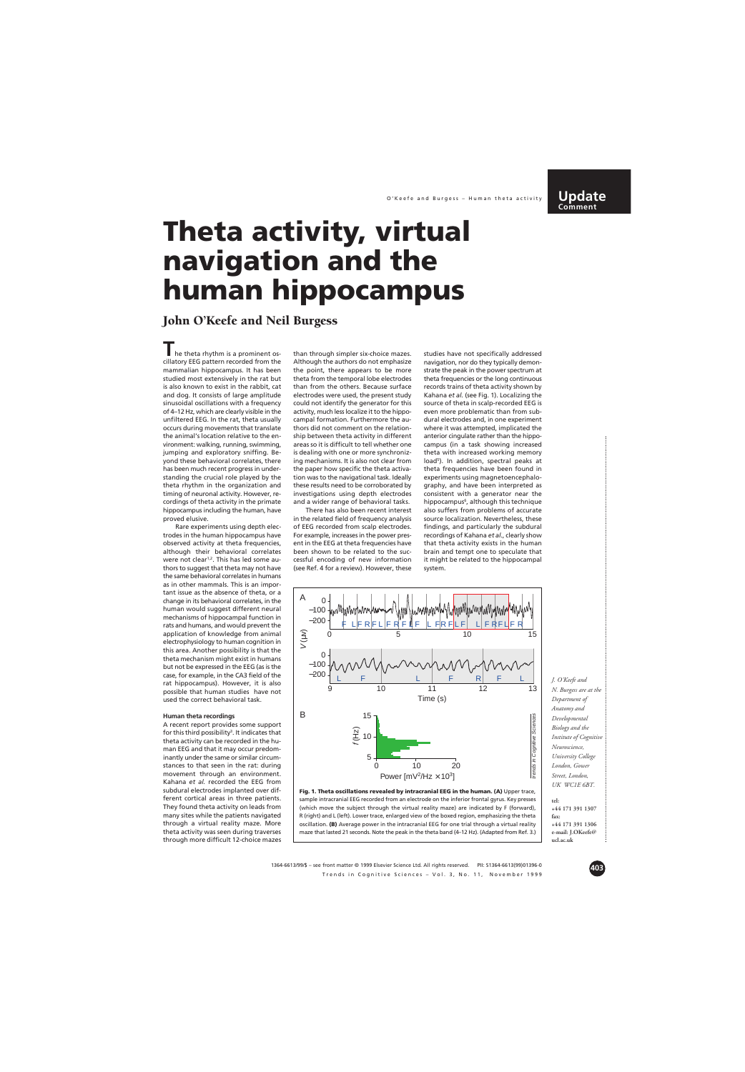# **Theta activity, virtual navigation and the human hippocampus**

John O'Keefe and Neil Burgess

he theta rhythm is a prominent oscillatory EEG pattern recorded from the mammalian hippocampus. It has been studied most extensively in the rat but is also known to exist in the rabbit, cat and dog. It consists of large amplitude sinusoidal oscillations with a frequency of 4–12 Hz, which are clearly visible in the unfiltered EEG. In the rat, theta usually occurs during movements that translate the animal's location relative to the environment: walking, running, swimming, jumping and exploratory sniffing. Beyond these behavioral correlates, there has been much recent progress in understanding the crucial role played by the theta rhythm in the organization and timing of neuronal activity. However, recordings of theta activity in the primate hippocampus including the human, have proved elusive.

Rare experiments using depth electrodes in the human hippocampus have observed activity at theta frequencies, although their behavioral correlates were not clear<sup>1,2</sup>. This has led some authors to suggest that theta may not have the same behavioral correlates in humans as in other mammals. This is an important issue as the absence of theta, or a change in its behavioral correlates, in the human would suggest different neural mechanisms of hippocampal function in rats and humans, and would prevent the application of knowledge from animal electrophysiology to human cognition in this area. Another possibility is that the theta mechanism might exist in humans but not be expressed in the EEG (as is the case, for example, in the CA3 field of the rat hippocampus). However, it is also possible that human studies have not used the correct behavioral task.

### **Human theta recordings**

A recent report provides some support for this third possibility<sup>3</sup>. It indicates that theta activity can be recorded in the human EEG and that it may occur predominantly under the same or similar circumstances to that seen in the rat: during movement through an environment. Kahana *et al.* recorded the EEG from subdural electrodes implanted over different cortical areas in three patients. They found theta activity on leads from many sites while the patients navigated through a virtual reality maze. More theta activity was seen during traverses through more difficult 12-choice mazes

than through simpler six-choice mazes. Although the authors do not emphasize the point, there appears to be more theta from the temporal lobe electrodes than from the others. Because surface electrodes were used, the present study could not identify the generator for this activity, much less localize it to the hippocampal formation. Furthermore the authors did not comment on the relationship between theta activity in different areas so it is difficult to tell whether one is dealing with one or more synchronizing mechanisms. It is also not clear from the paper how specific the theta activation was to the navigational task. Ideally these results need to be corroborated by investigations using depth electrodes and a wider range of behavioral tasks.

There has also been recent interest in the related field of frequency analysis of EEG recorded from scalp electrodes. For example, increases in the power present in the EEG at theta frequencies have been shown to be related to the successful encoding of new information (see Ref. 4 for a review). However, these studies have not specifically addressed navigation, nor do they typically demonstrate the peak in the power spectrum at theta frequencies or the long continuous records trains of theta activity shown by Kahana *et al.* (see Fig. 1). Localizing the source of theta in scalp-recorded EEG is even more problematic than from subdural electrodes and, in one experiment where it was attempted, implicated the anterior cingulate rather than the hippocampus (in a task showing increased theta with increased working memory load<sup>5</sup>). In addition, spectral peaks at theta frequencies have been found in experiments using magnetoencephalography, and have been interpreted as consistent with a generator near the hippocampus<sup>6</sup>, although this technique also suffers from problems of accurate source localization. Nevertheless, these findings, and particularly the subdural recordings of Kahana *et al.*, clearly show that theta activity exists in the human brain and tempt one to speculate that it might be related to the hippocampal system.





*J. O'Keefe and N. Burgess are at the Department of Anatomy and Developmental Biology and the Institute of Cognitive Neuroscience, University College London, Gower Street, London, UK WC1E 6BT.* **tel: +44 171 391 1307 fax: +44 171 391 1306 e-mail: J.OKeefe@ ucl.ac.uk**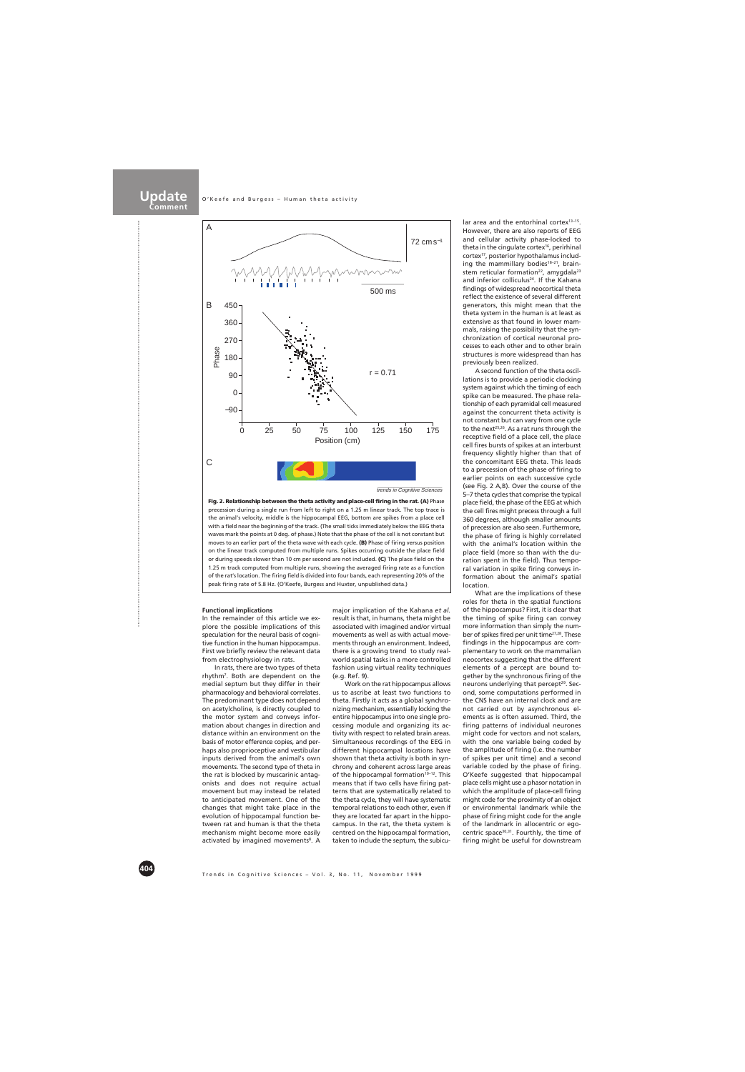

trends in Cognitive Sciences

**Fig. 2. Relationship between the theta activity and place-cell firing in the rat. (A)** Phase precession during a single run from left to right on a 1.25 m linear track. The top trace is the animal's velocity, middle is the hippocampal EEG, bottom are spikes from a place cell with a field near the beginning of the track. (The small ticks immediately below the EEG theta waves mark the points at 0 deg. of phase.) Note that the phase of the cell is not constant but moves to an earlier part of the theta wave with each cycle. **(B)** Phase of firing versus position on the linear track computed from multiple runs. Spikes occurring outside the place field or during speeds slower than 10 cm per second are not included. **(C)** The place field on the 1.25 m track computed from multiple runs, showing the averaged firing rate as a function of the rat's location. The firing field is divided into four bands, each representing 20% of the peak firing rate of 5.8 Hz. (O'Keefe, Burgess and Huxter, unpublished data.)

#### **Functional implications**

In the remainder of this article we explore the possible implications of this speculation for the neural basis of cognitive function in the human hippocampus. First we briefly review the relevant data from electrophysiology in rats.

In rats, there are two types of theta rhythm7. Both are dependent on the medial septum but they differ in their pharmacology and behavioral correlates. The predominant type does not depend on acetylcholine, is directly coupled to the motor system and conveys information about changes in direction and distance within an environment on the basis of motor efference copies, and perhaps also proprioceptive and vestibular inputs derived from the animal's own movements. The second type of theta in the rat is blocked by muscarinic antagonists and does not require actual movement but may instead be related to anticipated movement. One of the changes that might take place in the evolution of hippocampal function between rat and human is that the theta mechanism might become more easily activated by imagined movements<sup>8</sup>. A major implication of the Kahana *et al.* result is that, in humans, theta might be associated with imagined and/or virtual movements as well as with actual movements through an environment. Indeed, there is a growing trend to study realworld spatial tasks in a more controlled fashion using virtual reality techniques (e.g. Ref. 9).

Work on the rat hippocampus allows us to ascribe at least two functions to theta. Firstly it acts as a global synchronizing mechanism, essentially locking the entire hippocampus into one single processing module and organizing its activity with respect to related brain areas. Simultaneous recordings of the EEG in different hippocampal locations have shown that theta activity is both in synchrony and coherent across large areas of the hippocampal formation<sup>10-12</sup>. This means that if two cells have firing patterns that are systematically related to the theta cycle, they will have systematic temporal relations to each other, even if they are located far apart in the hippocampus. In the rat, the theta system is centred on the hippocampal formation, taken to include the septum, the subicu-

lar area and the entorhinal cortex<sup>13-15</sup>. However, there are also reports of EEG and cellular activity phase-locked to theta in the cingulate cortex<sup>16</sup>, perirhinal cortex17, posterior hypothalamus including the mammillary bodies $18-21$ , brainstem reticular formation<sup>22</sup>, amygdala<sup>23</sup> and inferior colliculus<sup>24</sup>. If the Kahana findings of widespread neocortical theta reflect the existence of several different generators, this might mean that the theta system in the human is at least as extensive as that found in lower mammals, raising the possibility that the synchronization of cortical neuronal processes to each other and to other brain structures is more widespread than has previously been realized.

A second function of the theta oscillations is to provide a periodic clocking system against which the timing of each spike can be measured. The phase relationship of each pyramidal cell measured against the concurrent theta activity is not constant but can vary from one cycle to the next<sup>25,26</sup>. As a rat runs through the receptive field of a place cell, the place cell fires bursts of spikes at an interburst frequency slightly higher than that of the concomitant EEG theta. This leads to a precession of the phase of firing to earlier points on each successive cycle (see Fig. 2 A,B). Over the course of the 5–7 theta cycles that comprise the typical place field, the phase of the EEG at which the cell fires might precess through a full 360 degrees, although smaller amounts of precession are also seen. Furthermore, the phase of firing is highly correlated with the animal's location within the place field (more so than with the duration spent in the field). Thus temporal variation in spike firing conveys information about the animal's spatial location.

What are the implications of these roles for theta in the spatial functions of the hippocampus? First, it is clear that the timing of spike firing can convey more information than simply the number of spikes fired per unit time<sup>27,28</sup>. These findings in the hippocampus are complementary to work on the mammalian neocortex suggesting that the different elements of a percept are bound together by the synchronous firing of the neurons underlying that percept<sup>29</sup>. Second, some computations performed in the CNS have an internal clock and are not carried out by asynchronous elements as is often assumed. Third, the firing patterns of individual neurones might code for vectors and not scalars, with the one variable being coded by the amplitude of firing (i.e. the number of spikes per unit time) and a second variable coded by the phase of firing. O'Keefe suggested that hippocampal place cells might use a phasor notation in which the amplitude of place-cell firing might code for the proximity of an object or environmental landmark while the phase of firing might code for the angle of the landmark in allocentric or egocentric space<sup>30,31</sup>. Fourthly, the time of firing might be useful for downstream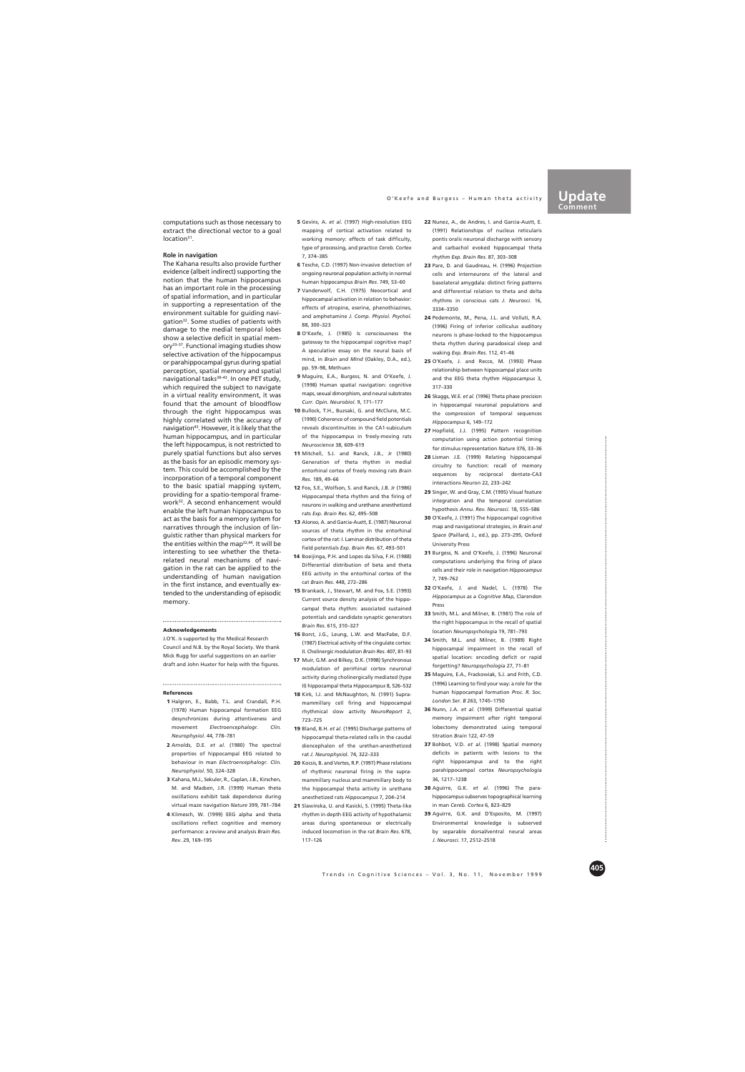computations such as those necessary to extract the directional vector to a goal location31.

### **Role in navigation**

The Kahana results also provide further evidence (albeit indirect) supporting the notion that the human hippocampus has an important role in the processing of spatial information, and in particular in supporting a representation of the environment suitable for guiding navigation<sup>32</sup>. Some studies of patients with damage to the medial temporal lobes show a selective deficit in spatial memory33–37. Functional imaging studies show selective activation of the hippocampus or parahippocampal gyrus during spatial perception, spatial memory and spatial navigational tasks<sup>38-43</sup>. In one PET study, which required the subject to navigate in a virtual reality environment, it was found that the amount of bloodflow through the right hippocampus was highly correlated with the accuracy of navigation<sup>43</sup>. However, it is likely that the human hippocampus, and in particular the left hippocampus, is not restricted to purely spatial functions but also serves as the basis for an episodic memory system. This could be accomplished by the incorporation of a temporal component to the basic spatial mapping system, providing for a spatio-temporal framework<sup>32</sup>. A second enhancement would enable the left human hippocampus to act as the basis for a memory system for narratives through the inclusion of linguistic rather than physical markers for the entities within the map32,44. It will be interesting to see whether the thetarelated neural mechanisms of navigation in the rat can be applied to the understanding of human navigation in the first instance, and eventually extended to the understanding of episodic memory.

#### **Acknowledgements**

J.O'K. is supported by the Medical Research Council and N.B. by the Royal Society. We thank Mick Rugg for useful suggestions on an earlier draft and John Huxter for help with the figures.

#### **References**

- **1** Halgren, E., Babb, T.L. and Crandall, P.H. (1978) Human hippocampal formation EEG desynchronizes during attentiveness and movement *Electroencephalogr. Clin. Neurophysiol*. 44, 778–781
- **2** Arnolds, D.E. *et al*. (1980) The spectral properties of hippocampal EEG related to behaviour in man *Electroencephalogr. Clin. Neurophysiol*. 50, 324–328
- **3** Kahana, M.J., Sekuler, R., Caplan, J.B., Kirschen, M. and Madsen, J.R. (1999) Human theta oscillations exhibit task dependence during virtual maze navigation *Nature* 399, 781–784
- **4** Klimesch, W. (1999) EEG alpha and theta oscillations reflect cognitive and memory performance: a review and analysis *Brain Res. Rev*. 29, 169–195
- **5** Gevins, A. *et al*. (1997) High-resolution EEG mapping of cortical activation related to working memory: effects of task difficulty, type of processing, and practice *Cereb. Cortex* 7, 374–385
- **6** Tesche, C.D. (1997) Non-invasive detection of ongoing neuronal population activity in normal human hippocampus *Brain Res*. 749, 53–60
- **7** Vanderwolf, C.H. (1975) Neocortical and hippocampal activation in relation to behavior: effects of atropine, eserine, phenothiazines, and amphetamine *J. Comp. Physiol. Psychol*. 88, 300–323
- **8** O'Keefe, J. (1985) Is consciousness the gateway to the hippocampal cognitive map? A speculative essay on the neural basis of mind, in *Brain and Mind* (Oakley, D.A., ed.), pp. 59–98, Methuen
- **9** Maguire, E.A., Burgess, N. and O'Keefe, J. (1998) Human spatial navigation: cognitive maps, sexual dimorphism, and neural substrates *Curr. Opin. Neurobiol*. 9, 171–177
- **10** Bullock, T.H., Buzsaki, G. and McClune, M.C. (1990) Coherence of compound field potentials reveals discontinuities in the CA1-subiculum of the hippocampus in freely-moving rats *Neuroscience* 38, 609–619
- **11** Mitchell, S.J. and Ranck, J.B., Jr (1980) Generation of theta rhythm in medial entorhinal cortex of freely moving rats *Brain Res.* 189, 49–66
- **12** Fox, S.E., Wolfson, S. and Ranck, J.B. Jr (1986) Hippocampal theta rhythm and the firing of neurons in walking and urethane anesthetized rats *Exp. Brain Res*. 62, 495–508
- **13** Alonso, A. and Garcia-Austt, E. (1987) Neuronal sources of theta rhythm in the entorhinal cortex of the rat: I. Laminar distribution of theta field potentials *Exp. Brain Res*. 67, 493–501
- **14** Boeijinga, P.H. and Lopes da Silva, F.H. (1988) Differential distribution of beta and theta EEG activity in the entorhinal cortex of the cat *Brain Res*. 448, 272–286
- **15** Brankack, J., Stewart, M. and Fox, S.E. (1993) Current source density analysis of the hippocampal theta rhythm: associated sustained potentials and candidate synaptic generators *Brain Res*. 615, 310–327
- **16** Borst, J.G., Leung, L.W. and MacFabe, D.F. (1987) Electrical activity of the cingulate cortex: II. Cholinergic modulation *Brain Res*. 407, 81–93
- **17** Muir, G.M. and Bilkey, D.K. (1998) Synchronous modulation of perirhinal cortex neuronal activity during cholinergically mediated (type II) hippocampal theta *Hippocampus* 8, 526–532
- **18** Kirk, I.J. and McNaughton, N. (1991) Supramammillary cell firing and hippocampal rhythmical slow activity *NeuroReport* 2, 723–725
- **19** Bland, B.H. *et al*. (1995) Discharge patterns of hippocampal theta-related cells in the caudal diencephalon of the urethan-anesthetized rat *J. Neurophysio*l. 74, 322–333
- **20** Kocsis, B. and Vertes, R.P. (1997) Phase relations of rhythmic neuronal firing in the supramammillary nucleus and mammillary body to the hippocampal theta activity in urethane anesthetized rats *Hippocampus* 7, 204–214
- **21** Slawinska, U. and Kasicki, S. (1995) Theta-like rhythm in depth EEG activity of hypothalamic areas during spontaneous or electrically induced locomotion in the rat *Brain Res*. 678, 117–126

**22** Nunez, A., de Andres, I. and Garcia-Austt, E. (1991) Relationships of nucleus reticularis pontis oralis neuronal discharge with sensory and carbachol evoked hippocampal theta rhythm *Exp. Brain Res*. 87, 303–308

**Comment**

- **23** Pare, D. and Gaudreau, H. (1996) Projection cells and interneurons of the lateral and basolateral amygdala: distinct firing patterns and differential relation to theta and delta rhythms in conscious cats *J. Neurosci*. 16, 3334–3350
- **24** Pedemonte, M., Pena, J.L. and Velluti, R.A. (1996) Firing of inferior colliculus auditory neurons is phase-locked to the hippocampus theta rhythm during paradoxical sleep and waking *Exp. Brain Res*. 112, 41–46
- **25** O'Keefe, J. and Recce, M. (1993) Phase relationship between hippocampal place units and the EEG theta rhythm *Hippocampus* 3, 317–330
- **26** Skaggs, W.E. *et al*. (1996) Theta phase precision in hippocampal neuronal populations and the compression of temporal sequences *Hippocampus* 6, 149–172
- **27** Hopfield, J.J. (1995) Pattern recognition computation using action potential timing for stimulus representation *Nature* 376, 33–36
- **28** Lisman J.E. (1999) Relating hippocampal circuitry to function: recall of memory sequences by reciprocal dentate-CA3 interactions *Neuron* 22, 233–242
- **29** Singer, W. and Gray, C.M. (1995) Visual feature integration and the temporal correlation hypothesis *Annu. Rev. Neurosci*. 18, 555–586
- **30** O'Keefe, J. (1991) The hippocampal cognitive map and navigational strategies, in *Brain and Space* (Paillard, J., ed.), pp. 273–295, Oxford University Press
- **31** Burgess, N. and O'Keefe, J. (1996) Neuronal computations underlying the firing of place cells and their role in navigation *Hippocampus* 7, 749–762
- **32** O'Keefe, J. and Nadel, L. (1978) *The Hippocampus as a Cognitive Map*, Clarendon Press
- **33** Smith, M.L. and Milner, B. (1981) The role of the right hippocampus in the recall of spatial location *Neuropsychologia* 19, 781–793
- **34** Smith, M.L. and Milner, B. (1989) Right hippocampal impairment in the recall of spatial location: encoding deficit or rapid forgetting? *Neuropsychologia* 27, 71–81
- **35** Maguire, E.A., Frackowiak, S.J. and Frith, C.D. (1996) Learning to find your way: a role for the human hippocampal formation *Proc. R. Soc. London Ser. B* 263, 1745–1750
- **36** Nunn, J.A. *et al*. (1999) Differential spatial memory impairment after right temporal lobectomy demonstrated using temporal titration *Brain* 122, 47–59
- **37** Bohbot, V.D. *et al*. (1998) Spatial memory deficits in patients with lesions to the right hippocampus and to the right parahippocampal cortex *Neuropsychologia* 36, 1217–1238
- **38** Aguirre, G.K. *et al*. (1996) The parahippocampus subserves topographical learning in man *Cereb. Cortex* 6, 823–829
- **39** Aguirre, G.K. and D'Esposito, M. (1997) Environmental knowledge is subserved by separable dorsal/ventral neural areas *J. Neurosci*. 17, 2512–2518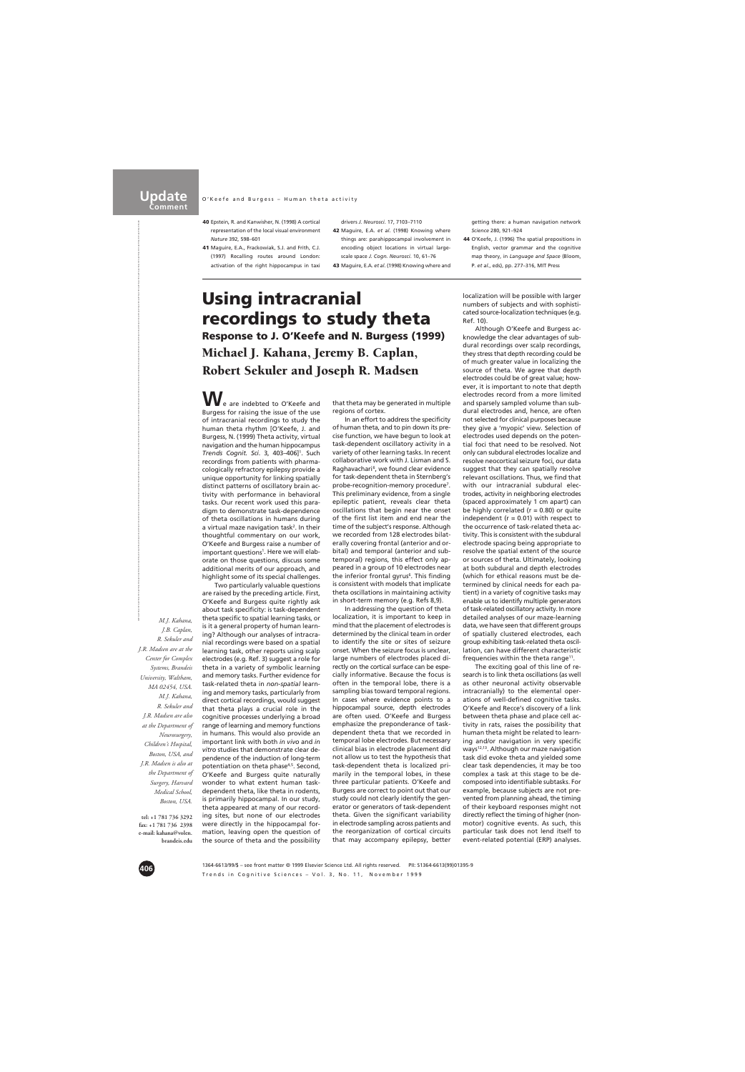- **40** Epstein, R. and Kanwisher, N. (1998) A cortical representation of the local visual environment *Nature* 392, 598–601
- **41** Maguire, E.A., Frackowiak, S.J. and Frith, C.J. (1997) Recalling routes around London: activation of the right hippocampus in taxi

drivers *J. Neurosci*. 17, 7103–7110

**42** Maguire, E.A. *et al*. (1998) Knowing where things are: parahippocampal involvement in encoding object locations in virtual largescale space *J. Cogn. Neurosci*. 10, 61–76

**43** Maguire, E.A. *et al*. (1998) Knowing where and

# **Using intracranial recordings to study theta Response to J. O'Keefe and N. Burgess (1999)** Michael J. Kahana, Jeremy B. Caplan, Robert Sekuler and Joseph R. Madsen

W<sub>e</sub> are indebted to O'Keefe and Burgess for raising the issue of the use of intracranial recordings to study the human theta rhythm [O'Keefe, J. and Burgess, N. (1999) Theta activity, virtual navigation and the human hippocampus *Trends Cognit. Sci*. 3, 403–406]1 . Such recordings from patients with pharmacologically refractory epilepsy provide a unique opportunity for linking spatially distinct patterns of oscillatory brain activity with performance in behavioral tasks. Our recent work used this paradigm to demonstrate task-dependence of theta oscillations in humans during a virtual maze navigation task<sup>2</sup>. In their thoughtful commentary on our work, O'Keefe and Burgess raise a number of important questions<sup>1</sup>. Here we will elaborate on those questions, discuss some additional merits of our approach, and highlight some of its special challenges.

Two particularly valuable questions are raised by the preceding article. First, O'Keefe and Burgess quite rightly ask about task specificity: is task-dependent theta specific to spatial learning tasks, or is it a general property of human learning? Although our analyses of intracranial recordings were based on a spatial learning task, other reports using scalp electrodes (e.g. Ref. 3) suggest a role for theta in a variety of symbolic learning and memory tasks. Further evidence for task-related theta in *non-spatial* learning and memory tasks, particularly from direct cortical recordings, would suggest that theta plays a crucial role in the cognitive processes underlying a broad range of learning and memory functions in humans. This would also provide an important link with both *in vivo* and *in vitro* studies that demonstrate clear dependence of the induction of long-term potentiation on theta phase<sup>4,5</sup>. Second, O'Keefe and Burgess quite naturally wonder to what extent human taskdependent theta, like theta in rodents, is primarily hippocampal. In our study, theta appeared at many of our recording sites, but none of our electrodes were directly in the hippocampal formation, leaving open the question of the source of theta and the possibility that theta may be generated in multiple regions of cortex.

In an effort to address the specificity of human theta, and to pin down its precise function, we have begun to look at task-dependent oscillatory activity in a variety of other learning tasks. In recent collaborative work with J. Lisman and S. Raghavachari<sup>6</sup>, we found clear evidence for task-dependent theta in Sternberg's probe-recognition-memory procedure7. This preliminary evidence, from a single epileptic patient, reveals clear theta oscillations that begin near the onset of the first list item and end near the time of the subject's response. Although we recorded from 128 electrodes bilaterally covering frontal (anterior and orbital) and temporal (anterior and subtemporal) regions, this effect only appeared in a group of 10 electrodes near the inferior frontal gyrus<sup>6</sup>. This finding is consistent with models that implicate theta oscillations in maintaining activity in short-term memory (e.g. Refs 8,9).

In addressing the question of theta localization, it is important to keep in mind that the placement of electrodes is determined by the clinical team in order to identify the site or sites of seizure onset. When the seizure focus is unclear, large numbers of electrodes placed directly on the cortical surface can be especially informative. Because the focus is often in the temporal lobe, there is a sampling bias toward temporal regions. In cases where evidence points to a hippocampal source, depth electrodes are often used. O'Keefe and Burgess emphasize the preponderance of taskdependent theta that we recorded in temporal lobe electrodes. But necessary clinical bias in electrode placement did not allow us to test the hypothesis that task-dependent theta is localized primarily in the temporal lobes, in these three particular patients. O'Keefe and Burgess are correct to point out that our study could not clearly identify the generator or generators of task-dependent theta. Given the significant variability in electrode sampling across patients and the reorganization of cortical circuits that may accompany epilepsy, better

getting there: a human navigation network *Science* 280, 921–924

**44** O'Keefe, J. (1996) The spatial prepositions in English, vector grammar and the cognitive map theory, in *Language and Space* (Bloom, P. *et al*., eds), pp. 277–316, MIT Press

localization will be possible with larger numbers of subjects and with sophisticated source-localization techniques (e.g. Ref. 10).

Although O'Keefe and Burgess acknowledge the clear advantages of subdural recordings over scalp recordings, they stress that depth recording could be of much greater value in localizing the source of theta. We agree that depth electrodes could be of great value; however, it is important to note that depth electrodes record from a more limited and sparsely sampled volume than subdural electrodes and, hence, are often not selected for clinical purposes because they give a 'myopic' view. Selection of electrodes used depends on the potential foci that need to be resolved. Not only can subdural electrodes localize and resolve neocortical seizure foci, our data suggest that they can spatially resolve relevant oscillations. Thus, we find that with our intracranial subdural electrodes, activity in neighboring electrodes (spaced approximately 1 cm apart) can be highly correlated ( $r = 0.80$ ) or quite independent ( $r = 0.01$ ) with respect to the occurrence of task-related theta activity. This is consistent with the subdural electrode spacing being appropriate to resolve the spatial extent of the source or sources of theta. Ultimately, looking at both subdural and depth electrodes (which for ethical reasons must be determined by clinical needs for each patient) in a variety of cognitive tasks may enable us to identify multiple generators of task-related oscillatory activity. In more detailed analyses of our maze-learning data, we have seen that different groups of spatially clustered electrodes, each group exhibiting task-related theta oscillation, can have different characteristic frequencies within the theta range<sup>11</sup>.

The exciting goal of this line of research is to link theta oscillations (as well as other neuronal activity observable intracranially) to the elemental operations of well-defined cognitive tasks. O'Keefe and Recce's discovery of a link between theta phase and place cell activity in rats, raises the possibility that human theta might be related to learning and/or navigation in very specific ways<sup>12,13</sup>. Although our maze navigation task did evoke theta and yielded some clear task dependencies, it may be too complex a task at this stage to be decomposed into identifiable subtasks. For example, because subjects are not prevented from planning ahead, the timing of their keyboard responses might not directly reflect the timing of higher (nonmotor) cognitive events. As such, this particular task does not lend itself to event-related potential (ERP) analyses.

**tel: +1 781 736 3292 fax: +1 781 736 2398 e-mail: kahana@volen. brandeis.edu**

*M.J. Kahana, J.B. Caplan, R. Sekuler and J.R. Madsen are at the Center for Complex Systems, Brandeis University, Waltham, MA 02454, USA. M.J. Kahana, R. Sekuler and J.R. Madsen are also at the Department of Neurosurgery, Children's Hospital, Boston, USA, and J.R. Madsen is also at the Department of Surgery, Harvard Medical School, Boston, USA.*